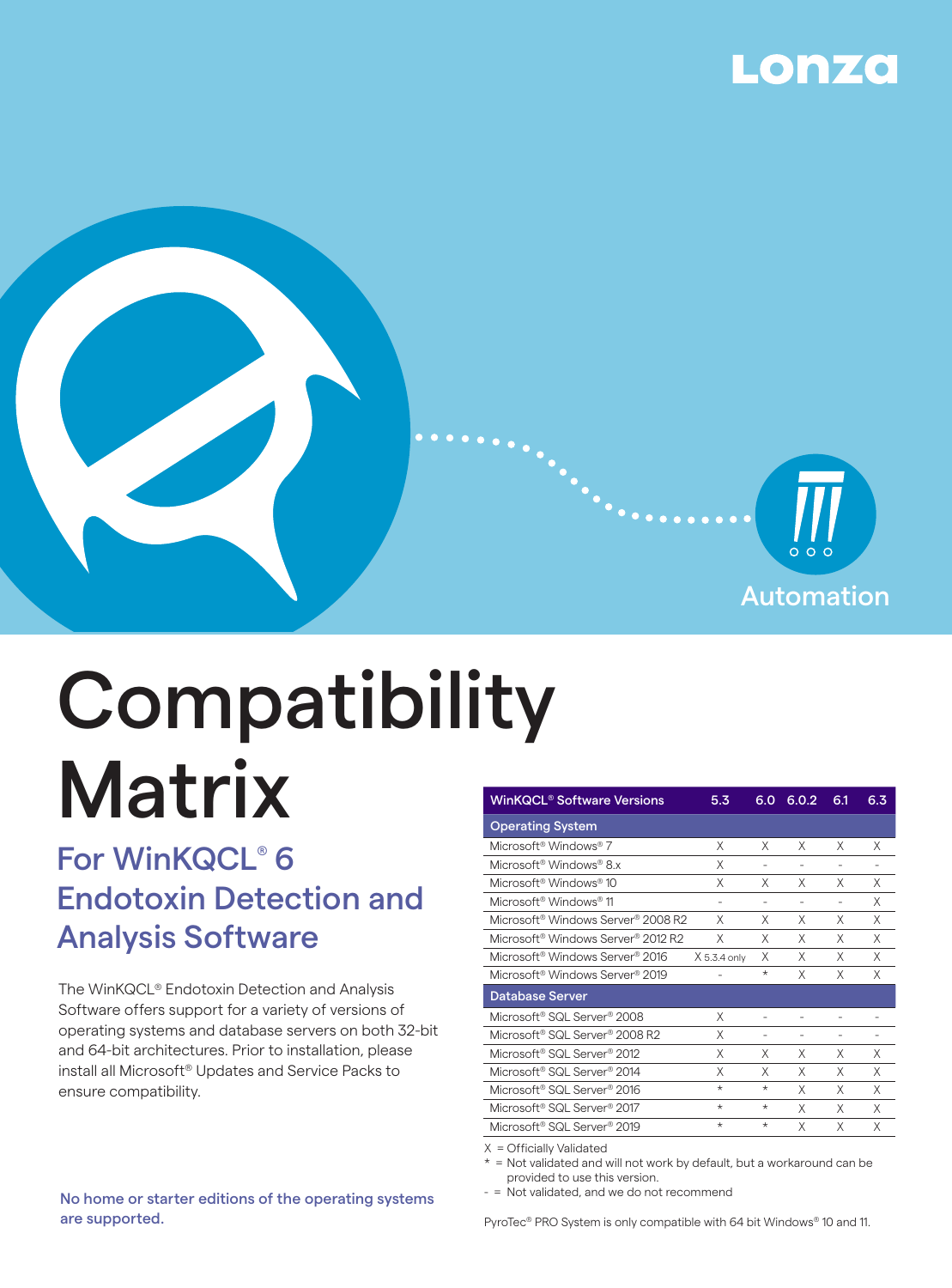



# Compatibility **Matrix**

# For WinKQCL® 6 Endotoxin Detection and Analysis Software

The WinKQCL® Endotoxin Detection and Analysis Software offers support for a variety of versions of operating systems and database servers on both 32-bit and 64-bit architectures. Prior to installation, please install all Microsoft® Updates and Service Packs to ensure compatibility.

| <b>WinKQCL® Software Versions</b>                       | 5.3          | 6.O                      | 6.0.2          | 6.1                      | 6.3 |
|---------------------------------------------------------|--------------|--------------------------|----------------|--------------------------|-----|
| <b>Operating System</b>                                 |              |                          |                |                          |     |
| Microsoft <sup>®</sup> Windows® 7                       | Χ            | X                        | X              | X                        | Χ   |
| Microsoft <sup>®</sup> Windows <sup>®</sup> 8.x         | Χ            |                          |                |                          |     |
| Microsoft <sup>®</sup> Windows <sup>®</sup> 10          | X            | X                        | X              | X                        | Χ   |
| Microsoft <sup>®</sup> Windows® 11                      |              | ۰                        | ۰              | $\overline{\phantom{a}}$ | Χ   |
| Microsoft® Windows Server® 2008 R2                      | X            | Χ                        | X              | X                        | Χ   |
| Microsoft® Windows Server® 2012 R2                      | X            | Χ                        | X              | X                        | X   |
| Microsoft® Windows Server® 2016                         | X 5.3.4 only | X                        | X              | X                        | X   |
| Microsoft <sup>®</sup> Windows Server <sup>®</sup> 2019 |              | $\star$                  | X              | X                        | X   |
| <b>Database Server</b>                                  |              |                          |                |                          |     |
| Microsoft® SQL Server® 2008                             | Χ            | ۰                        |                |                          |     |
| Microsoft® SQL Server® 2008 R2                          | Χ            | $\overline{\phantom{0}}$ | $\overline{a}$ | $\overline{\phantom{a}}$ | ÷.  |
| Microsoft <sup>®</sup> SQL Server <sup>®</sup> 2012     | Χ            | X                        | X              | X                        | Χ   |
| Microsoft® SQL Server® 2014                             | Χ            | Χ                        | X              | X                        | X   |
| Microsoft® SQL Server® 2016                             | *            | $\star$                  | X              | X                        | X   |
| Microsoft <sup>®</sup> SQL Server <sup>®</sup> 2017     | $\star$      | $^\star$                 | X              | X                        | X   |
| Microsoft® SQL Server® 2019                             | $\star$      | $\star$                  | X              | X                        | Χ   |
|                                                         |              |                          |                |                          |     |

X = Officially Validated

 $*$  = Not validated and will not work by default, but a workaround can be provided to use this version.

- = Not validated, and we do not recommend

No home or starter editions of the operating systems are supported.